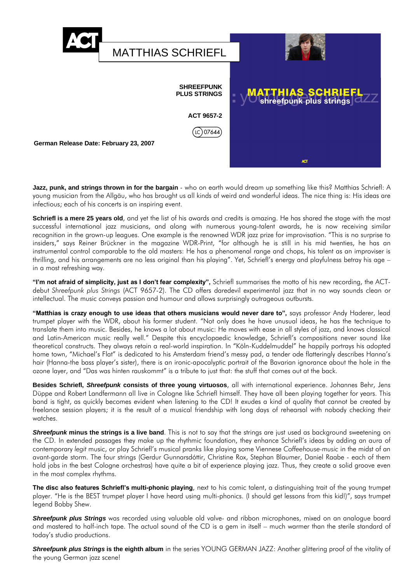

**Jazz, punk, and strings thrown in for the bargain** - who on earth would dream up something like this? Matthias Schriefl: A young musician from the Allgäu, who has brought us all kinds of weird and wonderful ideas. The nice thing is: His ideas are infectious; each of his concerts is an inspiring event.

**Schriefl is a mere 25 years old**, and yet the list of his awards and credits is amazing. He has shared the stage with the most successful international jazz musicians, and along with numerous young-talent awards, he is now receiving similar recognition in the grown-up leagues. One example is the renowned WDR jazz prize for improvisation. "This is no surprise to insiders," says Reiner Brückner in the magazine WDR-Print, "for although he is still in his mid twenties, he has an instrumental control comparable to the old masters: He has a phenomenal range and chops, his talent as an improviser is thrilling, and his arrangements are no less original than his playing". Yet, Schriefl's energy and playfulness betray his age – in a most refreshing way.

**"I'm not afraid of simplicity, just as I don't fear complexity",** Schriefl summarises the motto of his new recording, the ACTdebut *Shreefpunk plus Strings* (ACT 9657-2). The CD offers daredevil experimental jazz that in no way sounds clean or intellectual. The music conveys passion and humour and allows surprisingly outrageous outbursts.

**"Matthias is crazy enough to use ideas that others musicians would never dare to",** says professor Andy Haderer, lead trumpet player with the WDR, about his former student. "Not only does he have unusual ideas, he has the technique to translate them into music. Besides, he knows a lot about music: He moves with ease in all styles of jazz, and knows classical and Latin-American music really well." Despite this encyclopaedic knowledge, Schriefl's compositions never sound like theoretical constructs. They always retain a real-world inspiration. In "Köln-Kuddelmuddel" he happily portrays his adopted home town, "Michael's Flat" is dedicated to his Amsterdam friend's messy pad, a tender ode flatteringly describes Hanna's hair (Hanna-the bass player's sister), there is an ironic-apocalyptic portrait of the Bavarian ignorance about the hole in the ozone layer, and "Das was hinten rauskommt" is a tribute to just that: the stuff that comes out at the back.

**Besides Schriefl,** *Shreefpunk* **consists of three young virtuosos**, all with international experience. Johannes Behr, Jens Düppe and Robert Landfermann all live in Cologne like Schriefl himself. They have all been playing together for years. This band is tight, as quickly becomes evident when listening to the CD! It exudes a kind of quality that cannot be created by freelance session players; it is the result of a musical friendship with long days of rehearsal with nobody checking their watches.

**Shreefpunk minus the strings is a live band**. This is not to say that the strings are just used as background sweetening on the CD. In extended passages they make up the rhythmic foundation, they enhance Schriefl's ideas by adding an aura of contemporary *legit* music, or play Schriefl's musical pranks like playing some Viennese *Coffeehouse-music* in the midst of an avant-garde storm. The four strings (Gerdur Gunnarsdóttir, Christine Rox, Stephan Blaumer, Daniel Raabe - each of them hold jobs in the best Cologne orchestras) have quite a bit of experience playing jazz. Thus, they create a solid groove even in the most complex rhythms.

**The disc also features Schriefl's multi-phonic playing**, next to his comic talent, a distinguishing trait of the young trumpet player. "He is the BEST trumpet player I have heard using multi-phonics. (I should get lessons from this kid!)", says trumpet legend Bobby Shew.

*Shreefpunk plus Strings* was recorded using valuable old valve- and ribbon microphones, mixed on an analogue board and mastered to half-inch tape. The actual sound of the CD is a gem in itself – much warmer than the sterile standard of today's studio productions.

*Shreefpunk plus Strings* **is the eighth album** in the series YOUNG GERMAN JAZZ: Another glittering proof of the vitality of the young German jazz scene!